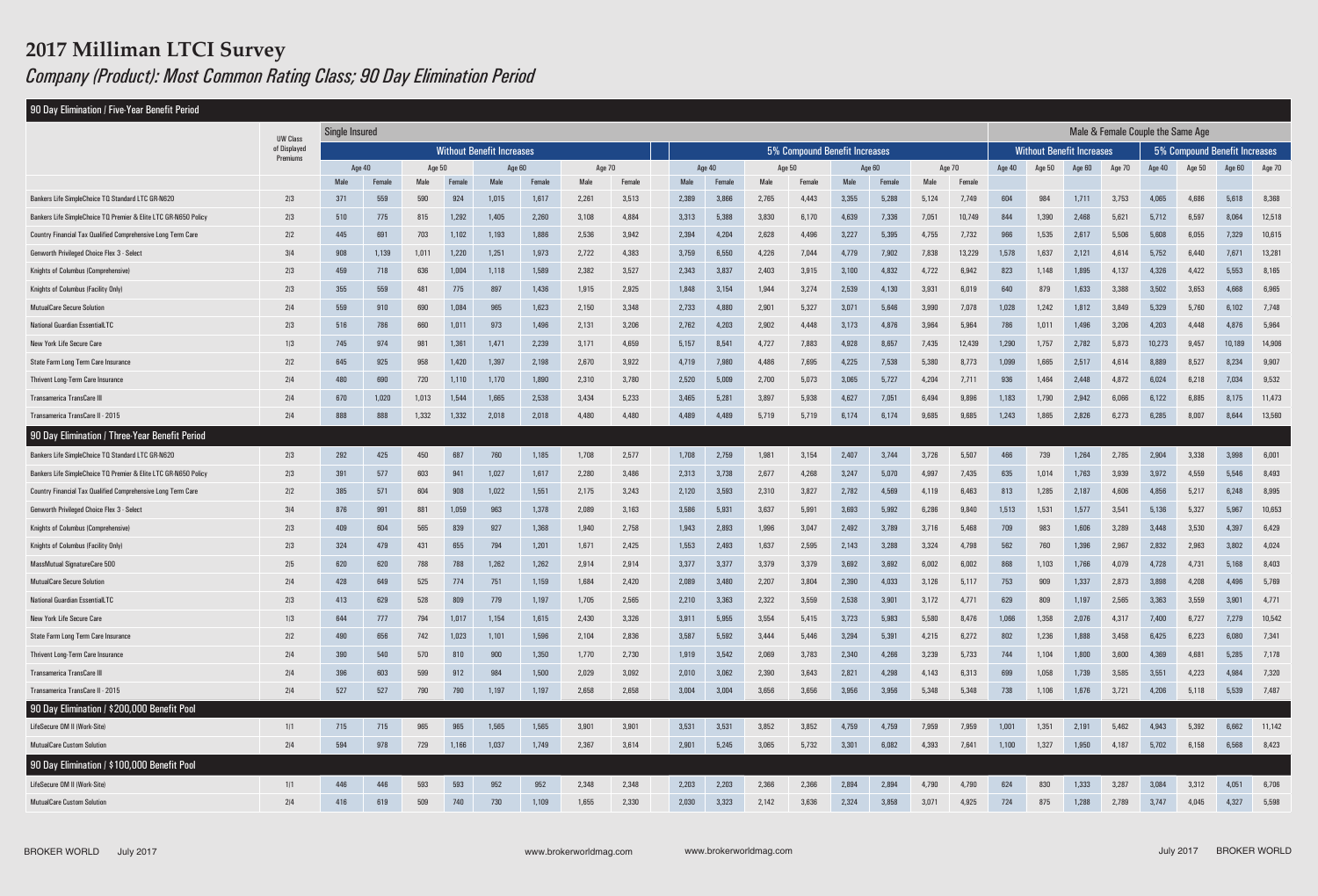#### 90 Day Elimination / Five-Year Benefit Period

# **2017 Milliman LTCI Survey** *Company (Product): Most Common Rating Class; 90 Day Elimination Period*

| 90 Day Elimination / Five-Year Benefit Period                                                                                          |                          |                       |                                  |            |                |                |                |                               |                |                                   |                |                |                                  |                |                |                               |                 |            |                |                |                |                |                |                |                  |
|----------------------------------------------------------------------------------------------------------------------------------------|--------------------------|-----------------------|----------------------------------|------------|----------------|----------------|----------------|-------------------------------|----------------|-----------------------------------|----------------|----------------|----------------------------------|----------------|----------------|-------------------------------|-----------------|------------|----------------|----------------|----------------|----------------|----------------|----------------|------------------|
|                                                                                                                                        | <b>UW Class</b>          | <b>Single Insured</b> |                                  |            |                |                |                |                               |                | Male & Female Couple the Same Age |                |                |                                  |                |                |                               |                 |            |                |                |                |                |                |                |                  |
|                                                                                                                                        | of Displayed<br>Premiums |                       | <b>Without Benefit Increases</b> |            |                |                |                | 5% Compound Benefit Increases |                |                                   |                |                | <b>Without Benefit Increases</b> |                |                | 5% Compound Benefit Increases |                 |            |                |                |                |                |                |                |                  |
|                                                                                                                                        |                          |                       | Age 40                           | Age 50     |                |                | Age 60         | Age 70                        |                |                                   | Age 40         |                | Age 50                           |                | Age 60         |                               | Age 70          | Age 40     | Age 50         | Age 60         | <b>Age 70</b>  | Age 40         | Age 50         | Age 60         | Age 70           |
|                                                                                                                                        |                          | Male                  |                                  | Male       | Femal          | Male           | Female         | Male                          | Female         | <b>Male</b>                       | <b>Female</b>  | Male           | Female                           | Male           | Femal          | Male                          | Female          |            |                |                |                |                |                |                |                  |
| Bankers Life SimpleChoice TO Standard LTC GR-N620                                                                                      | 2/3                      | 371                   | 559                              | 590        | 924            | 1,015          | 1,617          | 2,261                         | 3,513          | 2,389                             | 3,866          | 2,765          | 4,443                            | 3,355          | 5,288          | 5,124                         | 7,749           | 604        | 984            | 1,711          | 3,753          | 4,065          | 4,686          | 5,618          | 8,368            |
| Bankers Life SimpleChoice TO Premier & Elite LTC GR-N650 Policy<br><b>Country Financial Tax Qualified Comprehensive Long Term Care</b> | 2/3<br>2/2               | 510<br>445            | 775<br>691                       | 815<br>703 | 1,292<br>1,102 | 1,405<br>1,193 | 2,260<br>1,886 | 3,108<br>2,536                | 4,884<br>3,942 | 3,313                             | 5,388<br>4,204 | 3,830<br>2,628 | 6,170<br>4,496                   | 4,639<br>3,227 | 7,336<br>5,395 | 7,051<br>4,755                | 10,749<br>7,732 | 844<br>966 | 1,390<br>1,535 | 2,468<br>2,617 | 5,621<br>5,506 | 5,712          | 6,597<br>6,055 | 8,064<br>7,329 | 12,518<br>10,615 |
| Genworth Privileged Choice Flex 3 - Select                                                                                             | 3/4                      |                       |                                  | 1,011      | 1,220          | 1,251          | 1,973          | 2,722                         | 4,383          | 2,394<br>3,759                    | 6,550          | 4,226          | 7,044                            | 4,779          | 7,902          | 7,838                         | 13,229          | 1,578      | 1,637          | 2,121          | 4,614          | 5,608<br>5,752 | 6,440          | 7,67           | 13,281           |
| Knights of Columbus (Comprehensive)                                                                                                    | 2/3                      | 908<br>459            | 1,139<br>718                     | 636        | 1,004          | 1,118          | 1,589          | 2,382                         | 3,527          | 2,343                             | 3,837          | 2,403          | 3,915                            | 3,100          | 4,832          | 4,722                         | 6,942           | 823        | 1,148          | 1,895          | 4,137          | 4,326          | 4,422          | 5,553          | 8,165            |
| Knights of Columbus (Facility Only)                                                                                                    | 2/3                      | 355                   | 559                              | 481        | 775            | 897            | 1,436          | 1,915                         | 2,925          | 1,848                             | 3,154          | 1,944          | 3,274                            | 2,539          | 4,130          | 3,931                         | 6,019           | 640        | 879            | 1,633          | 3,388          | 3,502          | 3,653          | 4,668          | 6,965            |
| <b>MutualCare Secure Solution</b>                                                                                                      | 2/4                      | 559                   | 910                              | 690        | 1,084          | 965            | 1,623          | 2,150                         | 3,348          | 2,733                             | 4,880          | 2,901          | 5,327                            | 3,071          | 5,646          | 3,990                         | 7,078           | 1,028      | 1,242          | 1,812          | 3,849          | 5,329          | 5,760          | 6,102          | 7,748            |
| <b>National Guardian EssentialLTC</b>                                                                                                  | 2/3                      | 516                   | 786                              | 660        | 1,01           | 973            | 1,496          | 2,131                         | 3,206          | 2,762                             | 4,203          | 2,902          | 4,448                            | 3,173          | 4,876          | 3,964                         | 5,964           | 786        | 1,011          | 1,496          | 3,206          | 4,203          | 4,448          | 4,876          | 5,964            |
| New York Life Secure Care                                                                                                              | 1/3                      | 745                   | 974                              | 981        | 1,361          | 1,471          | 2,239          | 3,171                         | 4,659          | 5,157                             | 8,541          | 4,727          | 7,883                            | 4,928          | 8,657          | 7,435                         | 12,439          | 1,290      | 1,757          | 2,782          | 5,873          | 10,273         | 9,457          | 10,189         | 14,906           |
| State Farm Long Term Care Insurance                                                                                                    | 2/2                      | 645                   | 925                              | 958        | 1,420          | 1,397          | 2,198          | 2,670                         | 3,922          | 4,719                             | 7,980          | 4,486          | 7,695                            | 4,225          | 7,538          | 5,380                         | 8,773           | 1,099      | 1,665          | 2,517          | 4,614          | 8,889          | 8,527          | 8,234          | 9,907            |
| <b>Thrivent Long-Term Care Insurance</b>                                                                                               | 2/4                      | 480                   | 690                              | 720        | 1,110          | 1,170          | 1,890          | 2,310                         | 3,780          | 2,520                             | 5,009          | 2,700          | 5,073                            | 3,065          | 5,727          | 4,204                         | 7,71            | 936        | 1,464          | 2,448          | 4,872          | 6,024          | 6,218          | 7,034          | 9,532            |
| <b>Transamerica TransCare III</b>                                                                                                      | 2/4                      | 670                   | 1,020                            | 1,013      | 1,544          | 1,665          | 2,538          | 3,434                         | 5,233          | 3,465                             | 5,281          | 3,897          | 5,938                            | 4,627          | 7,051          | 6,494                         | 9,896           | 1,183      | 1,790          | 2,942          | 6,066          | 6,122          | 6,885          | 8,175          | 11,473           |
| Transamerica TransCare II - 2015                                                                                                       | 2 4                      | 888                   | 888                              | 1,332      | 1,332          | 2,018          | 2,018          | 4,480                         | 4,480          | 4,489                             | 4,489          | 5,719          | 5,719                            | 6,174          | 6,174          | 9,685                         | 9,685           | 1,243      | 1,865          | 2,826          | 6,273          | 6,285          | 8,007          | 8,644          | 13,560           |
| 90 Day Elimination / Three-Year Benefit Period                                                                                         |                          |                       |                                  |            |                |                |                |                               |                |                                   |                |                |                                  |                |                |                               |                 |            |                |                |                |                |                |                |                  |
| Bankers Life SimpleChoice TO Standard LTC GR-N620                                                                                      | 2/3                      | 292                   | 425                              | 450        | 687            | 760            | 1,185          | 1,708                         | 2,577          | 1,708                             | 2,759          | 1,981          | 3,154                            | 2,407          | 3,744          | 3,726                         | 5,507           | 466        | 739            | 1,264          | 2,785          | 2,904          | 3,338          | 3,998          | 6,001            |
| Bankers Life SimpleChoice TO Premier & Elite LTC GR-N650 Policy                                                                        | 2/3                      | 391                   | 577                              | 603        | 941            | 1,027          | 1,617          | 2,280                         | 3,486          | 2,313                             | 3,738          | 2,677          | 4,268                            | 3,247          | 5,070          | 4,997                         | 7,435           | 635        | 1,014          | 1,763          | 3,939          | 3,972          | 4,559          | 5,546          | 8,493            |
| Country Financial Tax Qualified Comprehensive Long Term Care                                                                           | 2/2                      | 385                   | 571                              | 604        | 908            | 1,022          | 1,551          | 2,175                         | 3,243          | 2,120                             | 3,593          | 2,310          | 3,827                            | 2,782          | 4,569          | 4,119                         | 6,463           | 813        | 1,285          | 2,187          | 4,606          | 4,856          | 5,217          | 6,248          | 8,995            |
| Genworth Privileged Choice Flex 3 - Select                                                                                             | 3/4                      | 876                   | 991                              | 881        | 1,059          | 963            | 1,378          | 2,089                         | 3,163          | 3,586                             | 5,931          | 3,637          | 5,991                            | 3,693          | 5,992          | 6,286                         | 9,840           | 1,513      | 1,531          | 1,577          | 3,541          | 5,136          | 5,327          | 5,967          | 10,653           |
| Knights of Columbus (Comprehensive)                                                                                                    | 2/3                      | 409                   | 604                              | 565        | 839            | 927            | 1,368          | 1,940                         | 2,758          | 1,943                             | 2,893          | 1,996          | 3,047                            | 2,492          | 3,789          | 3,716                         | 5,468           | 709        | 983            | 1,606          | 3,289          | 3,448          | 3,530          | 4,397          | 6,429            |
| Knights of Columbus (Facility Only)                                                                                                    | 2/3                      | 324                   | 479                              | 431        | 655            | 794            | 1,201          | 1,671                         | 2,425          | 1,553                             | 2,493          | 1,637          | 2,595                            | 2,143          | 3,288          | 3,324                         | 4,798           | 562        | 760            | 1,396          | 2,967          | 2,832          | 2,963          | 3,802          | 4,024            |
| <b>MassMutual SignatureCare 500</b>                                                                                                    | 2/5                      | 620                   | 620                              | 788        | 788            | 1,262          | 1,262          | 2,914                         | 2,914          | 3,377                             | 3,377          | 3,379          | 3,379                            | 3,692          | 3,692          | 6,002                         | 6,002           | 868        | 1,103          | 1,766          | 4,079          | 4,728          | 4,731          | 5,168          | 8,403            |
| <b>MutualCare Secure Solution</b>                                                                                                      | 2/4                      | 428                   | 649                              | 525        | 774            | 751            | 1,159          | 1,684                         | 2,420          | 2,089                             | 3,480          | 2,207          | 3,804                            | 2,390          | 4,033          | 3,126                         | 5,117           | 753        | 909            | 1,337          | 2,873          | 3,898          | 4,208          | 4,496          | 5,769            |
| <b>National Guardian EssentialLTC</b>                                                                                                  | 2/3                      | 413                   | 629                              | 528        | 809            | 779            | 1,197          | 1,705                         | 2,565          | 2,210                             | 3,363          | 2,322          | 3,559                            | 2,538          | 3,901          | 3,172                         | 4,77            | 629        | 809            | 1,197          | 2,565          | 3,363          | 3,559          | $3,90^{\circ}$ | 4,771            |
| New York Life Secure Care                                                                                                              | 1/3                      | 644                   | 777                              |            | 1.017          | 1 1 5 4        | 1,615          | 2,430                         | 3.326          | 3,911                             | 5.955          | 3554           | 5.415                            | 3,723          | 5983           | 5580                          | 8476            | 1,066      | 1.358          | 2,076          | 4.317          | 7.400          | 6.727          | 7.279          | 10.542           |
| State Farm Long Term Care Insurance                                                                                                    | 2/2                      | 490                   | 656                              | 742        | 1,023          | 1,101          | 1,596          | 2,104                         | 2,836          | 3,587                             | 5,592          | 3,444          | 5,446                            | 3,294          | 5,391          | 4,215                         | 6,272           | 802        | 1,236          | 1,888          | 3,458          | 6,425          | 6,223          | 6,080          | 7,341            |
| Thrivent Long-Term Care Insurance                                                                                                      | 2 4                      | 390                   | 540                              | 570        | 810            | 900            | 1,350          | 1,770                         | 2,730          | 1,919                             | 3,542          | 2,069          | 3,783                            | 2,340          | 4,266          | 3,239                         | 5,733           | 744        | 1,104          | 1,800          | 3,600          | 4,369          | 4,681          | 5,285          | 7,178            |
| <b>Transamerica TransCare III</b>                                                                                                      | 2/4                      | 396                   | 603                              | 599        | 912            | 984            | 1,500          | 2,029                         | 3,092          | 2,010                             | 3,062          | 2,390          | 3,643                            | 2,821          | 4,298          | 4,143                         | 6,313           | 699        | 1,058          | 1,739          | 3,585          | 3,551          | 4,223          | 4,984          | 7,320            |
| Transamerica TransCare II - 2015                                                                                                       | 2/4                      | 527                   | 527                              | 790        | 790            | 1,197          | 1,197          | 2,658                         | 2,658          | 3,004                             | 3,004          | 3,656          | 3,656                            | 3,956          | 3,956          | 5,348                         | 5,348           | 738        | 1,106          | 1,676          | 3,721          | 4,206          | 5,118          | 5,539          | 7,487            |
| 90 Day Elimination / \$200,000 Benefit Pool                                                                                            |                          |                       |                                  |            |                |                |                |                               |                |                                   |                |                |                                  |                |                |                               |                 |            |                |                |                |                |                |                |                  |
| LifeSecure OM II (Work-Site)                                                                                                           | 1/1                      | 715                   | 715                              | 965        | 965            | 1,565          | 1,565          | 3,901                         | 3,901          | 3,531                             | 3,531          | 3,852          | 3,852                            | 4,759          | 4,759          | 7,959                         | 7,959           | 1,001      | 1,351          | 2,191          | 5,462          | 4,943          | 5,392          | 6,662          | 11,142           |
| <b>MutualCare Custom Solution</b>                                                                                                      | 2/4                      | 594                   | 978                              | 729        | 1,166          | 1,037          | 1,749          | 2,367                         | 3,614          | 2,901                             | 5,245          | 3,065          | 5,732                            | 3,301          | 6,082          | 4,393                         | 7,641           | 1,100      | 1,327          | 1,950          | 4,187          | 5,702          | 6,158          | 6,568          | 8,423            |
| 90 Day Elimination / \$100,000 Benefit Pool                                                                                            |                          |                       |                                  |            |                |                |                |                               |                |                                   |                |                |                                  |                |                |                               |                 |            |                |                |                |                |                |                |                  |
| LifeSecure OM II (Work-Site)                                                                                                           | 1/1                      | 446                   | 446                              | 593        | 593            | 952            | 952            | 2,348                         | 2,348          | 2,203                             | 2,203          | 2,366          | 2,366                            | 2,894          | 2,894          | 4,790                         | 4,790           | 624        | 830            | 1,333          | 3,287          | 3,084          | 3,312          | 4,051          | 6,706            |
| <b>MutualCare Custom Solution</b>                                                                                                      | 2/4                      | 416                   | 619                              | 509        | 740            | 730            | 1,109          | 1,655                         | 2,330          | 2,030                             | 3,323          | 2,142          | 3,636                            | 2,324          | 3,858          | 3,071                         | 4,925           | 724        | 875            | 1,288          | 2,789          | 3,747          | 4,045          | 4,327          | 5,598            |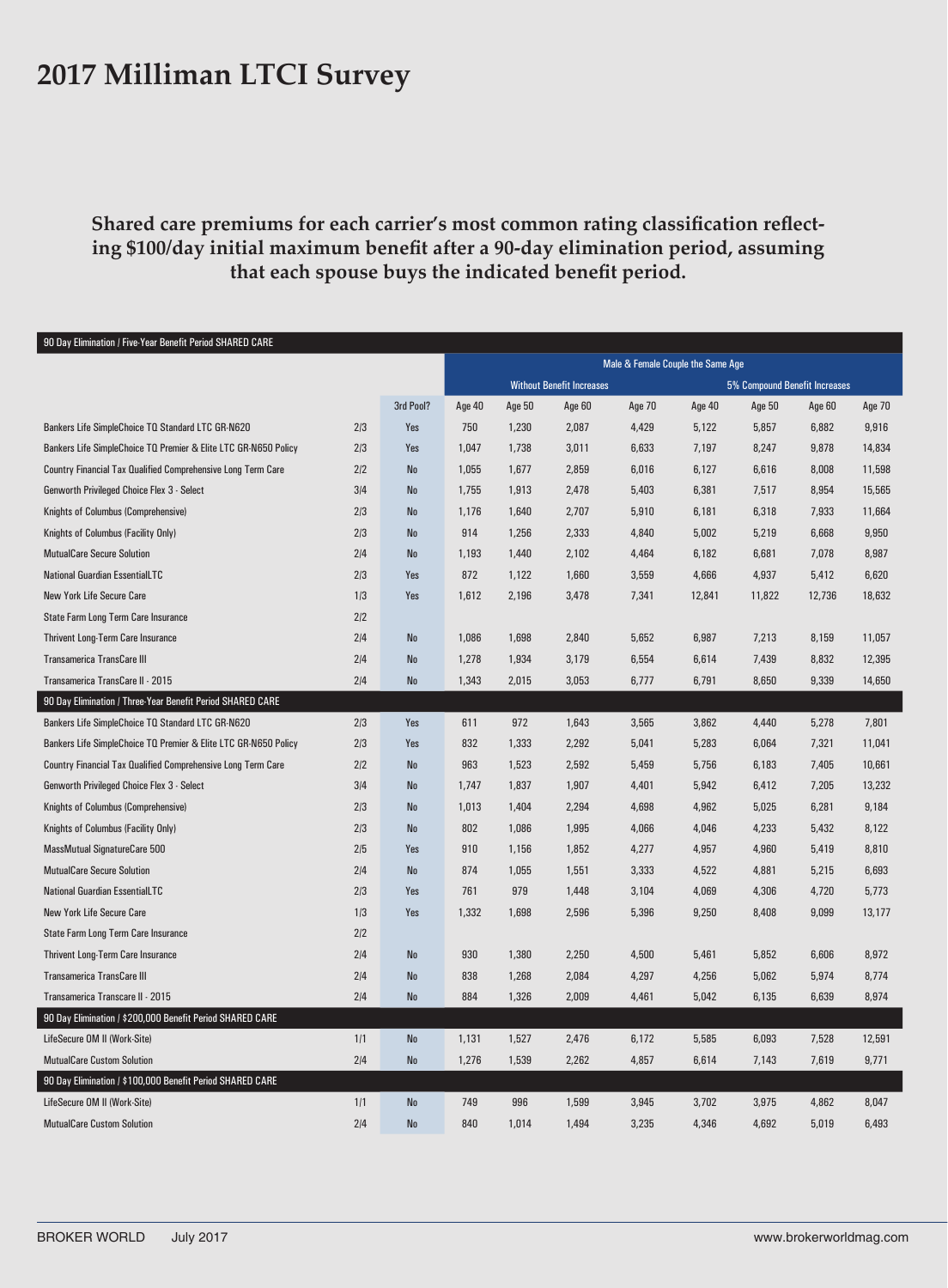#### **2017 Milliman LTCI Survey**

**Shared care premiums for each carrier's most common rating classification reflecting \$100/day initial maximum benefit after a 90-day elimination period, assuming that each spouse buys the indicated benefit period.**

| 90 Day Elimination / Five-Year Benefit Period SHARED CARE       |     |                |                                   |        |        |                               |        |        |        |        |
|-----------------------------------------------------------------|-----|----------------|-----------------------------------|--------|--------|-------------------------------|--------|--------|--------|--------|
|                                                                 |     |                | Male & Female Couple the Same Age |        |        |                               |        |        |        |        |
|                                                                 |     |                | <b>Without Benefit Increases</b>  |        |        | 5% Compound Benefit Increases |        |        |        |        |
|                                                                 |     | 3rd Pool?      | Age 40                            | Age 50 | Age 60 | Age 70                        | Age 40 | Age 50 | Age 60 | Age 70 |
| Bankers Life SimpleChoice TO Standard LTC GR-N620               | 2/3 | Yes            | 750                               | 1,230  | 2,087  | 4,429                         | 5,122  | 5,857  | 6,882  | 9,916  |
| Bankers Life SimpleChoice TQ Premier & Elite LTC GR-N650 Policy | 2/3 | Yes            | 1,047                             | 1,738  | 3,011  | 6,633                         | 7,197  | 8,247  | 9,878  | 14,834 |
| Country Financial Tax Qualified Comprehensive Long Term Care    | 2/2 | <b>No</b>      | 1,055                             | 1,677  | 2,859  | 6,016                         | 6,127  | 6,616  | 8,008  | 11,598 |
| Genworth Privileged Choice Flex 3 - Select                      | 3/4 | <b>No</b>      | 1,755                             | 1,913  | 2,478  | 5,403                         | 6,381  | 7,517  | 8,954  | 15,565 |
| Knights of Columbus (Comprehensive)                             | 2/3 | $\mathsf{No}$  | 1,176                             | 1,640  | 2,707  | 5,910                         | 6,181  | 6,318  | 7,933  | 11,664 |
| Knights of Columbus (Facility Only)                             | 2/3 | N <sub>0</sub> | 914                               | 1,256  | 2,333  | 4,840                         | 5,002  | 5,219  | 6,668  | 9,950  |
| <b>MutualCare Secure Solution</b>                               | 2/4 | No             | 1,193                             | 1,440  | 2,102  | 4,464                         | 6,182  | 6,681  | 7,078  | 8,987  |
| <b>National Guardian EssentialLTC</b>                           | 2/3 | Yes            | 872                               | 1,122  | 1,660  | 3,559                         | 4,666  | 4,937  | 5,412  | 6,620  |
| <b>New York Life Secure Care</b>                                | 1/3 | Yes            | 1,612                             | 2,196  | 3,478  | 7,341                         | 12,841 | 11,822 | 12,736 | 18,632 |
| State Farm Long Term Care Insurance                             | 2/2 |                |                                   |        |        |                               |        |        |        |        |
| Thrivent Long-Term Care Insurance                               | 2 4 | $\mathsf{No}$  | 1,086                             | 1,698  | 2,840  | 5,652                         | 6,987  | 7,213  | 8,159  | 11,057 |
| <b>Transamerica TransCare III</b>                               | 2/4 | N <sub>0</sub> | 1,278                             | 1,934  | 3,179  | 6,554                         | 6,614  | 7,439  | 8,832  | 12,395 |
| Transamerica TransCare II - 2015                                | 2 4 | N <sub>0</sub> | 1,343                             | 2,015  | 3,053  | 6,777                         | 6,791  | 8,650  | 9,339  | 14,650 |
| 90 Day Elimination / Three-Year Benefit Period SHARED CARE      |     |                |                                   |        |        |                               |        |        |        |        |
| Bankers Life SimpleChoice TO Standard LTC GR-N620               | 2/3 | Yes            | 611                               | 972    | 1,643  | 3,565                         | 3,862  | 4,440  | 5,278  | 7,801  |
| Bankers Life SimpleChoice TQ Premier & Elite LTC GR-N650 Policy | 2/3 | Yes            | 832                               | 1,333  | 2,292  | 5,041                         | 5,283  | 6,064  | 7,321  | 11,041 |
| Country Financial Tax Qualified Comprehensive Long Term Care    | 2/2 | $\mathsf{No}$  | 963                               | 1,523  | 2,592  | 5,459                         | 5,756  | 6,183  | 7,405  | 10,661 |
| Genworth Privileged Choice Flex 3 - Select                      | 3/4 | N <sub>0</sub> | 1,747                             | 1,837  | 1,907  | 4,401                         | 5,942  | 6,412  | 7,205  | 13,232 |
| Knights of Columbus (Comprehensive)                             | 2/3 | ${\sf No}$     | 1,013                             | 1,404  | 2,294  | 4,698                         | 4,962  | 5,025  | 6,281  | 9,184  |
| Knights of Columbus (Facility Only)                             | 2/3 | No             | 802                               | 1,086  | 1,995  | 4,066                         | 4,046  | 4,233  | 5,432  | 8,122  |
| <b>MassMutual SignatureCare 500</b>                             | 2/5 | Yes            | 910                               | 1,156  | 1,852  | 4,277                         | 4,957  | 4,960  | 5,419  | 8,810  |
| <b>MutualCare Secure Solution</b>                               | 2/4 | <b>No</b>      | 874                               | 1,055  | 1,551  | 3,333                         | 4,522  | 4,881  | 5,215  | 6,693  |
| <b>National Guardian EssentialLTC</b>                           | 2/3 | Yes            | 761                               | 979    | 1,448  | 3,104                         | 4,069  | 4,306  | 4,720  | 5,773  |
| <b>New York Life Secure Care</b>                                | 1/3 | Yes            | 1,332                             | 1,698  | 2,596  | 5,396                         | 9,250  | 8,408  | 9,099  | 13,177 |
| <b>State Farm Long Term Care Insurance</b>                      | 2/2 |                |                                   |        |        |                               |        |        |        |        |
| Thrivent Long-Term Care Insurance                               | 2/4 | No             | 930                               | 1,380  | 2,250  | 4,500                         | 5,461  | 5,852  | 6,606  | 8,972  |
| <b>Transamerica TransCare III</b>                               | 2/4 | No             | 838                               | 1,268  | 2,084  | 4,297                         | 4,256  | 5,062  | 5,974  | 8,774  |
| Transamerica Transcare II - 2015                                | 2/4 | No             | 884                               | 1,326  | 2,009  | 4,461                         | 5,042  | 6,135  | 6,639  | 8,974  |
| 90 Day Elimination / \$200,000 Benefit Period SHARED CARE       |     |                |                                   |        |        |                               |        |        |        |        |
| LifeSecure OM II (Work-Site)                                    | 1/1 | ${\sf No}$     | 1,131                             | 1,527  | 2,476  | 6,172                         | 5,585  | 6,093  | 7,528  | 12,591 |
| <b>MutualCare Custom Solution</b>                               | 2/4 | No             | 1,276                             | 1,539  | 2,262  | 4,857                         | 6,614  | 7,143  | 7,619  | 9,771  |
| 90 Day Elimination / \$100,000 Benefit Period SHARED CARE       |     |                |                                   |        |        |                               |        |        |        |        |
| LifeSecure OM II (Work-Site)                                    | 1/1 | ${\sf No}$     | 749                               | 996    | 1,599  | 3,945                         | 3,702  | 3,975  | 4,862  | 8,047  |
| <b>MutualCare Custom Solution</b>                               | 214 | N <sub>0</sub> | 840                               | 1,014  | 1,494  | 3,235                         | 4,346  | 4,692  | 5,019  | 6,493  |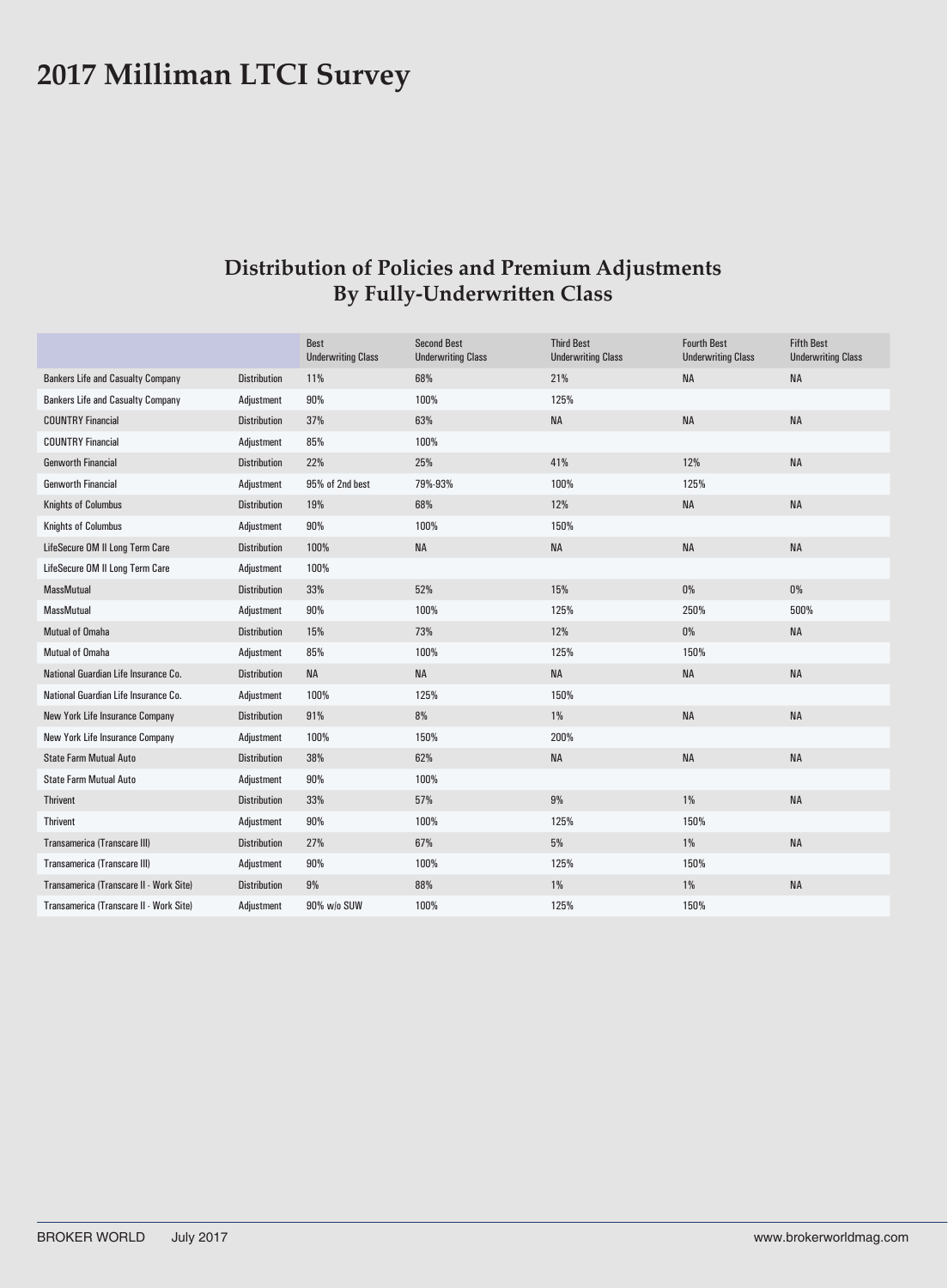### **2017 Milliman LTCI Survey**

#### **Distribution of Policies and Premium Adjustments By Fully-Underwritten Class**

|                                          |                     | <b>Best</b><br><b>Underwriting Class</b> | <b>Second Best</b><br><b>Underwriting Class</b> | <b>Third Best</b><br><b>Underwriting Class</b> | <b>Fourth Best</b><br><b>Underwriting Class</b> | <b>Fifth Best</b><br><b>Underwriting Class</b> |
|------------------------------------------|---------------------|------------------------------------------|-------------------------------------------------|------------------------------------------------|-------------------------------------------------|------------------------------------------------|
| <b>Bankers Life and Casualty Company</b> | <b>Distribution</b> | 11%                                      | 68%                                             | 21%                                            | <b>NA</b>                                       | <b>NA</b>                                      |
| <b>Bankers Life and Casualty Company</b> | Adjustment          | 90%                                      | 100%                                            | 125%                                           |                                                 |                                                |
| <b>COUNTRY Financial</b>                 | <b>Distribution</b> | 37%                                      | 63%                                             | <b>NA</b>                                      | <b>NA</b>                                       | <b>NA</b>                                      |
| <b>COUNTRY Financial</b>                 | Adjustment          | 85%                                      | 100%                                            |                                                |                                                 |                                                |
| <b>Genworth Financial</b>                | <b>Distribution</b> | 22%                                      | 25%                                             | 41%                                            | 12%                                             | <b>NA</b>                                      |
| <b>Genworth Financial</b>                | Adjustment          | 95% of 2nd best                          | 79%-93%                                         | 100%                                           | 125%                                            |                                                |
| <b>Knights of Columbus</b>               | <b>Distribution</b> | 19%                                      | 68%                                             | 12%                                            | <b>NA</b>                                       | <b>NA</b>                                      |
| <b>Knights of Columbus</b>               | Adjustment          | 90%                                      | 100%                                            | 150%                                           |                                                 |                                                |
| LifeSecure OM II Long Term Care          | <b>Distribution</b> | 100%                                     | <b>NA</b>                                       | <b>NA</b>                                      | <b>NA</b>                                       | <b>NA</b>                                      |
| LifeSecure OM II Long Term Care          | Adjustment          | 100%                                     |                                                 |                                                |                                                 |                                                |
| <b>MassMutual</b>                        | <b>Distribution</b> | 33%                                      | 52%                                             | 15%                                            | $0\%$                                           | $0\%$                                          |
| <b>MassMutual</b>                        | Adjustment          | 90%                                      | 100%                                            | 125%                                           | 250%                                            | 500%                                           |
| Mutual of Omaha                          | <b>Distribution</b> | 15%                                      | 73%                                             | 12%                                            | $0\%$                                           | <b>NA</b>                                      |
| <b>Mutual of Omaha</b>                   | Adjustment          | 85%                                      | 100%                                            | 125%                                           | 150%                                            |                                                |
| National Guardian Life Insurance Co.     | <b>Distribution</b> | <b>NA</b>                                | <b>NA</b>                                       | <b>NA</b>                                      | <b>NA</b>                                       | <b>NA</b>                                      |
| National Guardian Life Insurance Co.     | Adjustment          | 100%                                     | 125%                                            | 150%                                           |                                                 |                                                |
| New York Life Insurance Company          | <b>Distribution</b> | 91%                                      | 8%                                              | $1\%$                                          | <b>NA</b>                                       | <b>NA</b>                                      |
| New York Life Insurance Company          | Adjustment          | 100%                                     | 150%                                            | 200%                                           |                                                 |                                                |
| <b>State Farm Mutual Auto</b>            | <b>Distribution</b> | 38%                                      | 62%                                             | <b>NA</b>                                      | <b>NA</b>                                       | <b>NA</b>                                      |
| <b>State Farm Mutual Auto</b>            | Adjustment          | 90%                                      | 100%                                            |                                                |                                                 |                                                |
| <b>Thrivent</b>                          | <b>Distribution</b> | 33%                                      | 57%                                             | 9%                                             | $1\%$                                           | <b>NA</b>                                      |
| <b>Thrivent</b>                          | Adjustment          | 90%                                      | 100%                                            | 125%                                           | 150%                                            |                                                |
| Transamerica (Transcare III)             | <b>Distribution</b> | 27%                                      | 67%                                             | 5%                                             | $1\%$                                           | <b>NA</b>                                      |
| Transamerica (Transcare III)             | Adjustment          | 90%                                      | 100%                                            | 125%                                           | 150%                                            |                                                |
| Transamerica (Transcare II - Work Site)  | <b>Distribution</b> | 9%                                       | 88%                                             | $1\%$                                          | 1%                                              | <b>NA</b>                                      |
| Transamerica (Transcare II - Work Site)  | Adjustment          | 90% w/o SUW                              | 100%                                            | 125%                                           | 150%                                            |                                                |